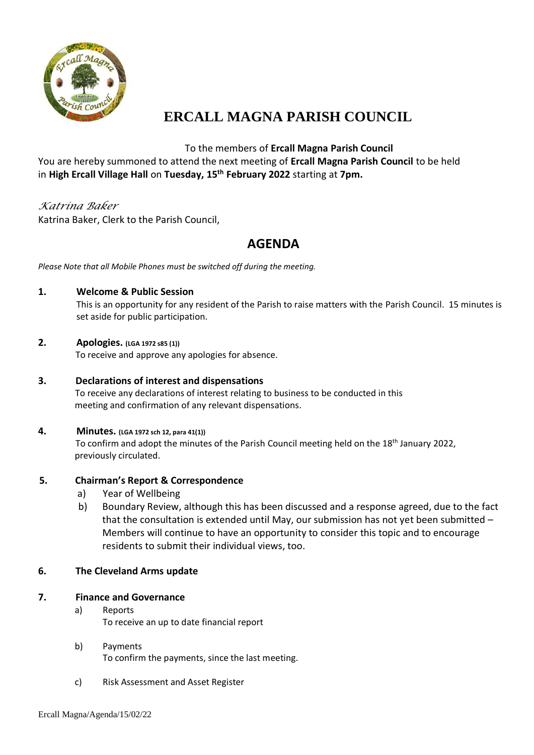

# **ERCALL MAGNA PARISH COUNCIL**

## To the members of **Ercall Magna Parish Council**

You are hereby summoned to attend the next meeting of **Ercall Magna Parish Council** to be held in **High Ercall Village Hall** on **Tuesday, 15 th February 2022** starting at **7pm.**

## *Katrina Baker*

Katrina Baker, Clerk to the Parish Council,

## **AGENDA**

*Please Note that all Mobile Phones must be switched off during the meeting.*

## **1. Welcome & Public Session**

This is an opportunity for any resident of the Parish to raise matters with the Parish Council. 15 minutes is set aside for public participation.

#### **2. Apologies. (LGA 1972 s85 (1))**

To receive and approve any apologies for absence.

#### **3. Declarations of interest and dispensations** To receive any declarations of interest relating to business to be conducted in this meeting and confirmation of any relevant dispensations.

## **4. Minutes. (LGA 1972 sch 12, para 41(1))** To confirm and adopt the minutes of the Parish Council meeting held on the 18th January 2022,

## **5. Chairman's Report & Correspondence**

a) Year of Wellbeing

previously circulated.

 b) Boundary Review, although this has been discussed and a response agreed, due to the fact that the consultation is extended until May, our submission has not yet been submitted – Members will continue to have an opportunity to consider this topic and to encourage residents to submit their individual views, too.

#### **6. The Cleveland Arms update**

## **7. Finance and Governance**

- a) Reports To receive an up to date financial report
- b) Payments To confirm the payments, since the last meeting.
- c) Risk Assessment and Asset Register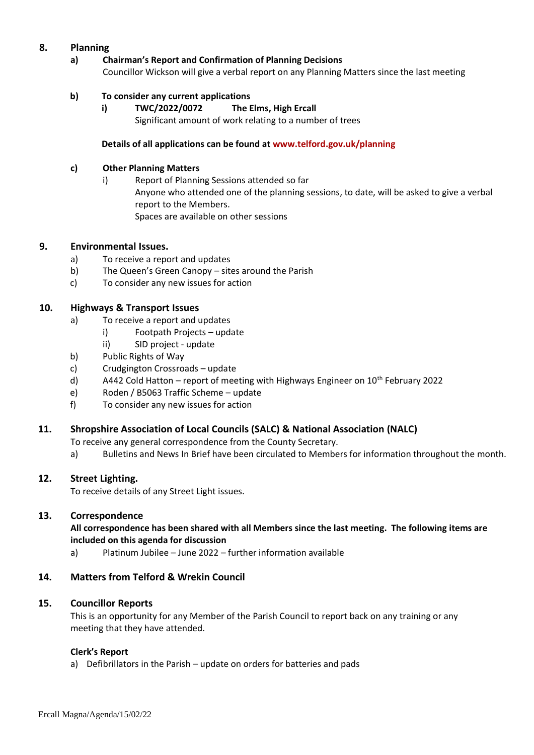#### **8. Planning**

**a) Chairman's Report and Confirmation of Planning Decisions** Councillor Wickson will give a verbal report on any Planning Matters since the last meeting

#### **b) To consider any current applications**

**i) TWC/2022/0072 The Elms, High Ercall** Significant amount of work relating to a number of trees

#### **Details of all applications can be found at [www.telford.gov.uk/planning](http://www.telford.gov.uk/planning)**

#### **c) Other Planning Matters**

i) Report of Planning Sessions attended so far Anyone who attended one of the planning sessions, to date, will be asked to give a verbal report to the Members. Spaces are available on other sessions

#### **9. Environmental Issues.**

- a) To receive a report and updates
- b) The Queen's Green Canopy sites around the Parish
- c) To consider any new issues for action

#### **10. Highways & Transport Issues**

- a) To receive a report and updates
	- i) Footpath Projects update
	- ii) SID project update
- b) Public Rights of Way
- c) Crudgington Crossroads update
- d) A442 Cold Hatton report of meeting with Highways Engineer on  $10^{th}$  February 2022
- e) Roden / B5063 Traffic Scheme update
- f) To consider any new issues for action

#### **11. Shropshire Association of Local Councils (SALC) & National Association (NALC)**

To receive any general correspondence from the County Secretary.

a) Bulletins and News In Brief have been circulated to Members for information throughout the month.

#### **12. Street Lighting.**

To receive details of any Street Light issues.

#### **13. Correspondence**

#### **All correspondence has been shared with all Members since the last meeting. The following items are included on this agenda for discussion**

a) Platinum Jubilee – June 2022 – further information available

#### **14. Matters from Telford & Wrekin Council**

#### **15. Councillor Reports**

This is an opportunity for any Member of the Parish Council to report back on any training or any meeting that they have attended.

#### **Clerk's Report**

a) Defibrillators in the Parish – update on orders for batteries and pads